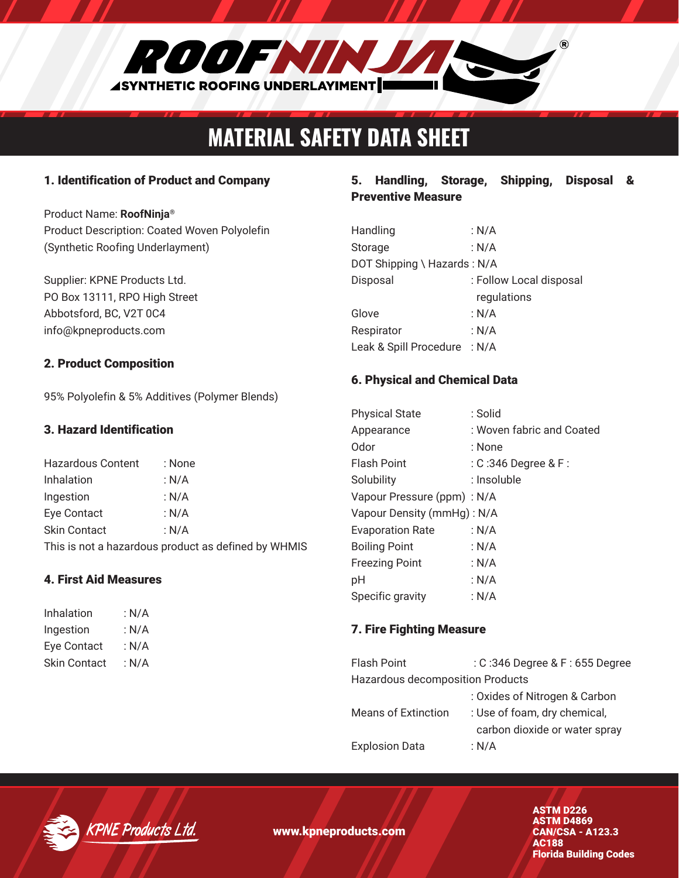

# MATERIAL SAFETY DATA SHEET

### 1. Identification of Product and Company

Product Name: **RoofNinja®** Product Description: Coated Woven Polyolefin (Synthetic Roofing Underlayment)

Supplier: KPNE Products Ltd. PO Box 13111, RPO High Street Abbotsford, BC, V2T 0C4 info@kpneproducts.com

#### 2. Product Composition

95% Polyolefin & 5% Additives (Polymer Blends)

#### 3. Hazard Identification

| Hazardous Content                                   | : None  |  |
|-----------------------------------------------------|---------|--|
| Inhalation                                          | : N/A   |  |
| Ingestion                                           | : $N/A$ |  |
| Eye Contact                                         | : $N/A$ |  |
| <b>Skin Contact</b>                                 | : N/A   |  |
| This is not a hazardous product as defined by WHMIS |         |  |

#### 4. First Aid Measures

| Inhalation   | : $N/A$ |
|--------------|---------|
| Ingestion    | : N/A   |
| Eye Contact  | : N/A   |
| Skin Contact | : $N/A$ |

### 5. Handling, Storage, Shipping, Disposal & Preventive Measure

| Handling                     | : N/A                   |
|------------------------------|-------------------------|
| Storage                      | : $N/A$                 |
| DOT Shipping \ Hazards: N/A  |                         |
| Disposal                     | : Follow Local disposal |
|                              | regulations             |
| Glove                        | : $N/A$                 |
| Respirator                   | : $N/A$                 |
| Leak & Spill Procedure : N/A |                         |

#### 6. Physical and Chemical Data

| <b>Physical State</b>      | : Solid                   |  |
|----------------------------|---------------------------|--|
| Appearance                 | : Woven fabric and Coated |  |
| Odor                       | : None                    |  |
| Flash Point                | $:$ C :346 Degree & F :   |  |
| Solubility                 | : Insoluble               |  |
| Vapour Pressure (ppm): N/A |                           |  |
| Vapour Density (mmHg): N/A |                           |  |
| <b>Evaporation Rate</b>    | : N/A                     |  |
| <b>Boiling Point</b>       | : N/A                     |  |
| <b>Freezing Point</b>      | : N/A                     |  |
| pH                         | : N/A                     |  |
| Specific gravity           | : N/A                     |  |

#### 7. Fire Fighting Measure

| Flash Point                      | : C:346 Degree & F: 655 Degree |  |
|----------------------------------|--------------------------------|--|
| Hazardous decomposition Products |                                |  |
|                                  | : Oxides of Nitrogen & Carbon  |  |
| <b>Means of Extinction</b>       | : Use of foam, dry chemical,   |  |
|                                  | carbon dioxide or water spray  |  |
| <b>Explosion Data</b>            | : N/A                          |  |



www.kpneproducts.com

ASTM D226 ASTM D4869 CAN/CSA - A123.3 AC188 Florida Building Codes